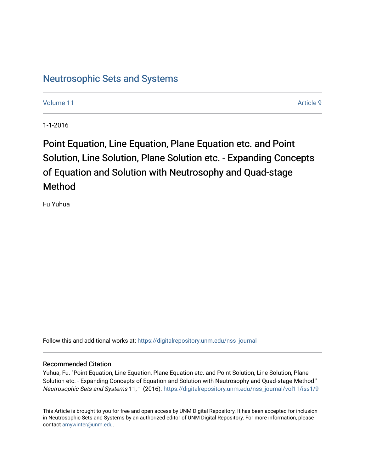## [Neutrosophic Sets and Systems](https://digitalrepository.unm.edu/nss_journal)

[Volume 11](https://digitalrepository.unm.edu/nss_journal/vol11) Article 9

1-1-2016

Point Equation, Line Equation, Plane Equation etc. and Point Solution, Line Solution, Plane Solution etc. - Expanding Concepts of Equation and Solution with Neutrosophy and Quad-stage Method

Fu Yuhua

Follow this and additional works at: [https://digitalrepository.unm.edu/nss\\_journal](https://digitalrepository.unm.edu/nss_journal?utm_source=digitalrepository.unm.edu%2Fnss_journal%2Fvol11%2Fiss1%2F9&utm_medium=PDF&utm_campaign=PDFCoverPages) 

### Recommended Citation

Yuhua, Fu. "Point Equation, Line Equation, Plane Equation etc. and Point Solution, Line Solution, Plane Solution etc. - Expanding Concepts of Equation and Solution with Neutrosophy and Quad-stage Method." Neutrosophic Sets and Systems 11, 1 (2016). [https://digitalrepository.unm.edu/nss\\_journal/vol11/iss1/9](https://digitalrepository.unm.edu/nss_journal/vol11/iss1/9?utm_source=digitalrepository.unm.edu%2Fnss_journal%2Fvol11%2Fiss1%2F9&utm_medium=PDF&utm_campaign=PDFCoverPages) 

This Article is brought to you for free and open access by UNM Digital Repository. It has been accepted for inclusion in Neutrosophic Sets and Systems by an authorized editor of UNM Digital Repository. For more information, please contact [amywinter@unm.edu](mailto:amywinter@unm.edu).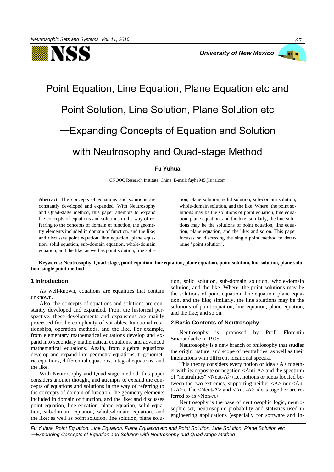

# 67

# Point Equation, Line Equation, Plane Equation etc and Point Solution, Line Solution, Plane Solution etc —Expanding Concepts of Equation and Solution with Neutrosophy and Quad-stage Method

### **Fu Yuhua**

CNOOC Research Institute, China. E-mail: fuyh1945@sina.com

**Abstract**. The concepts of equations and solutions are constantly developed and expanded. With Neutrosophy and Quad-stage method, this paper attempts to expand the concepts of equations and solutions in the way of referring to the concepts of domain of function, the geometry elements included in domain of function, and the like; and discusses point equation, line equation, plane equation, solid equation, sub-domain equation, whole-domain equation, and the like; as well as point solution, line solution, plane solution, solid solution, sub-domain solution, whole-domain solution, and the like. Where: the point solutions may be the solutions of point equation, line equation, plane equation, and the like; similarly, the line solutions may be the solutions of point equation, line equation, plane equation, and the like; and so on. This paper focuses on discussing the single point method to determine "point solution".

**Keywords: Neutrosophy, Quad-stage, point equation, line equation, plane equation, point solution, line solution, plane solution, single point method** 

#### **1 Introduction**

As well-known, equations are equalities that contain unknown.

Also, the concepts of equations and solutions are constantly developed and expanded. From the historical perspective, these developments and expansions are mainly processed for the complexity of variables, functional relationships, operation methods, and the like. For example, from elementary mathematical equations develop and expand into secondary mathematical equations, and advanced mathematical equations. Again, from algebra equations develop and expand into geometry equations, trigonometric equations, differential equations, integral equations, and the like.

With Neutrosophy and Quad-stage method, this paper considers another thought, and attempts to expand the concepts of equations and solutions in the way of referring to the concepts of domain of function, the geometry elements included in domain of function, and the like; and discusses point equation, line equation, plane equation, solid equation, sub-domain equation, whole-domain equation, and the like; as well as point solution, line solution, plane solution, solid solution, sub-domain solution, whole-domain solution, and the like. Where: the point solutions may be the solutions of point equation, line equation, plane equation, and the like; similarly, the line solutions may be the solutions of point equation, line equation, plane equation, and the like; and so on.

#### **2 Basic Contents of Neutrosophy**

Neutrosophy is proposed by Prof. Florentin Smarandache in 1995.

Neutrosophy is a new branch of philosophy that studies the origin, nature, and scope of neutralities, as well as their interactions with different ideational spectra.

This theory considers every notion or idea  $\langle A \rangle$  together with its opposite or negation <Anti-A> and the spectrum of "neutralities" <Neut-A> (i.e. notions or ideas located between the two extremes, supporting neither  $\langle A \rangle$  nor  $\langle An$ ti-A>). The <Neut-A> and <Anti-A> ideas together are referred to as <Non-A>.

Neutrosophy is the base of neutrosophic logic, neutrosophic set, neutrosophic probability and statistics used in engineering applications (especially for software and in-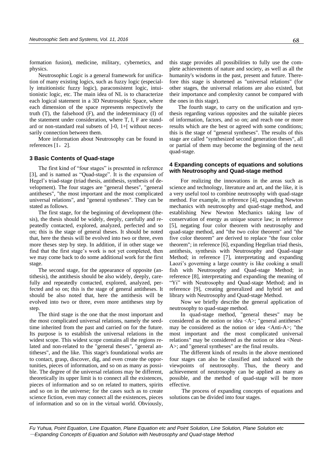formation fusion), medicine, military, cybernetics, and physics.

Neutrosophic Logic is a general framework for unification of many existing logics, such as fuzzy logic (especially intuitionistic fuzzy logic), paraconsistent logic, intuitionistic logic, etc. The main idea of NL is to characterize each logical statement in a 3D Neutrosophic Space, where each dimension of the space represents respectively the truth  $(T)$ , the falsehood  $(F)$ , and the indeterminacy  $(I)$  of the statement under consideration, where T, I, F are standard or non-standard real subsets of ]-0, 1+[ without necessarily connection between them.

More information about Neutrosophy can be found in references  $[1, 2]$ .

#### **3 Basic Contents of Quad-stage**

The first kind of "four stages" is presented in reference [3], and is named as "Quad-stage". It is the expansion of Hegel's triad-stage (triad thesis, antithesis, synthesis of development). The four stages are "general theses", "general antitheses", "the most important and the most complicated universal relations", and "general syntheses". They can be stated as follows.

The first stage, for the beginning of development (thesis), the thesis should be widely, deeply, carefully and repeatedly contacted, explored, analyzed, perfected and so on; this is the stage of general theses. It should be noted that, here the thesis will be evolved into two or three, even more theses step by step. In addition, if in other stage we find that the first stage's work is not yet completed, then we may come back to do some additional work for the first stage.

The second stage, for the appearance of opposite (antithesis), the antithesis should be also widely, deeply, carefully and repeatedly contacted, explored, analyzed, perfected and so on; this is the stage of general antitheses. It should be also noted that, here the antithesis will be evolved into two or three, even more antitheses step by step.

The third stage is the one that the most important and the most complicated universal relations, namely the seedtime inherited from the past and carried on for the future. Its purpose is to establish the universal relations in the widest scope. This widest scope contains all the regions related and non-related to the "general theses", "general antitheses", and the like. This stage's foundational works are to contact, grasp, discover, dig, and even create the opportunities, pieces of information, and so on as many as possible. The degree of the universal relations may be different, theoretically its upper limit is to connect all the existences, pieces of information and so on related to matters, spirits and so on in the universe; for the cases such as to create science fiction, even may connect all the existences, pieces of information and so on in the virtual world. Obviously, this stage provides all possibilities to fully use the complete achievements of nature and society, as well as all the humanity's wisdoms in the past, present and future. Therefore this stage is shortened as "universal relations" (for other stages, the universal relations are also existed, but their importance and complexity cannot be compared with the ones in this stage).

The fourth stage, to carry on the unification and synthesis regarding various opposites and the suitable pieces of information, factors, and so on; and reach one or more results which are the best or agreed with some conditions; this is the stage of "general syntheses". The results of this stage are called "synthesized second generation theses", all or partial of them may become the beginning of the next quad-stage.

#### **4 Expanding concepts of equations and solutions with Neutrosophy and Quad-stage method**

For realizing the innovations in the areas such as science and technology, literature and art, and the like, it is a very useful tool to combine neutrosophy with quad-stage method. For example, in reference [4], expanding Newton mechanics with neutrosophy and quad-stage method, and establishing New Newton Mechanics taking law of conservation of energy as unique source law; in reference [5], negating four color theorem with neutrosophy and quad-stage method, and "the two color theorem" and "the five color theorem" are derived to replace "the four color theorem"; in reference [6], expanding Hegelian triad thesis, antithesis, synthesis with Neutrosophy and Quad-stage Method; in reference [7], interpretating and expanding Laozi's governing a large country is like cooking a small fish with Neutrosophy and Quad-stage Method; in reference [8], interpretating and expanding the meaning of "Yi" with Neutrosophy and Quad-stage Method; and in reference [9], creating generalized and hybrid set and library with Neutrosophy and Quad-stage Method.

Now we briefly describe the general application of neutrosophy to quad-stage method.

In quad-stage method, "general theses" may be considered as the notion or idea <A>; "general antitheses" may be considered as the notion or idea <Anti-A>; "the most important and the most complicated universal relations" may be considered as the notion or idea <Neut-A>; and "general syntheses" are the final results.

The different kinds of results in the above mentioned four stages can also be classified and induced with the viewpoints of neutrosophy. Thus, the theory and achievement of neutrosophy can be applied as many as possible, and the method of quad-stage will be more effective.

The process of expanding concepts of equations and solutions can be divided into four stages.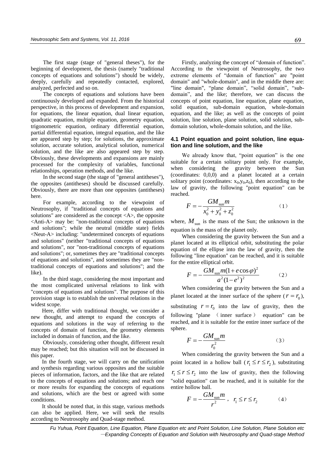The first stage (stage of "general theses"), for the beginning of development, the thesis (namely "traditional concepts of equations and solutions") should be widely, deeply, carefully and repeatedly contacted, explored, analyzed, perfected and so on.

The concepts of equations and solutions have been continuously developed and expanded. From the historical perspective, in this process of development and expansion, for equations, the linear equation, dual linear equation, quadratic equation, multiple equation, geometry equation, trigonometric equation, ordinary differential equation, partial differential equation, integral equation, and the like are appeared step by step; for solutions, the approximate solution, accurate solution, analytical solution, numerical solution, and the like are also appeared step by step. Obviously, these developments and expansions are mainly processed for the complexity of variables, functional relationships, operation methods, and the like.

In the second stage (the stage of "general antitheses"), the opposites (antitheses) should be discussed carefully. Obviously, there are more than one opposites (antitheses) here.

For example, according to the viewpoint of Neutrosophy, if "traditional concepts of equations and solutions" are considered as the concept  $\langle A \rangle$ , the opposite <Anti-A> may be: "non-traditional concepts of equations and solutions"; while the neutral (middle state) fields <Neut-A> including: "undetermined concepts of equations and solutions" (neither "traditional concepts of equations and solutions", nor "non-traditional concepts of equations and solutions"; or, sometimes they are "traditional concepts of equations and solutions", and sometimes they are "nontraditional concepts of equations and solutions"; and the like)

In the third stage, considering the most important and the most complicated universal relations to link with "concepts of equations and solutions". The purpose of this provision stage is to establish the universal relations in the widest scope.

Here, differ with traditional thought, we consider a new thought, and attempt to expand the concepts of equations and solutions in the way of referring to the concepts of domain of function, the geometry elements included in domain of function, and the like.

Obviously, considering other thought, different result may be reached; but this situation will not be discussed in this paper.

In the fourth stage, we will carry on the unification and synthesis regarding various opposites and the suitable pieces of information, factors, and the like that are related to the concepts of equations and solutions; and reach one or more results for expanding the concepts of equations and solutions, which are the best or agreed with some conditions.

It should be noted that, in this stage, various methods can also be applied. Here, we will seek the results according to Neutrosophy and Quad-stage method.

Firstly, analyzing the concept of "domain of function". According to the viewpoint of Neutrosophy, the two extreme elements of "domain of function" are "point domain" and "whole-domain", and in the middle there are: "line domain", "plane domain", "solid domain", "subdomain", and the like; therefore, we can discuss the concepts of point equation, line equation, plane equation, solid equation, sub-domain equation, whole-domain equation, and the like; as well as the concepts of point solution, line solution, plane solution, solid solution, subdomain solution, whole-domain solution, and the like.

#### **4.1 Point equation and point solution, line equation and line solutiom, and the like**

We already know that, "point equation" is the one suitable for a certain solitary point only. For example, when considering the gravity between the Sun (coordinates: 0,0,0) and a planet located at a certain solitary point (coordinates:  $x_0, y_0, z_0$ ), then according to the law of gravity, the following "point equation" can be reached.

$$
F = -\frac{GM_{\text{sun}}m}{x_0^2 + y_0^2 + z_0^2}
$$
 (1)

where,  $M_{\text{sun}}$  is the mass of the Sun; the unknown in the equation is the mass of the planet only.

When considering the gravity between the Sun and a planet located at its elliptical orbit, substituting the polar equation of the ellipse into the law of gravity, then the following "line equation" can be reached, and it is suitable

for the entire elliptical orbit.  
\n
$$
F = -\frac{GM_{sun}m(1 + e\cos\varphi)^2}{a^2(1 - e^2)^2}
$$
\n(2)

When considering the gravity between the Sun and a planet located at the inner surface of the sphere ( $r = r_0$ ), substituting  $r = r_0$  into the law of gravity, then the following "plane ( inner surface ) equation" can be reached, and it is suitable for the entire inner surface of the sphere.

$$
F = -\frac{GM_{\text{sun}}m}{r_0^2} \tag{3}
$$

When considering the gravity between the Sun and a point located in a hollow ball ( $r_1 \le r \le r_2$ ), substituting  $r_1 \le r \le r_2$  into the law of gravity, then the following "solid equation" can be reached, and it is suitable for the entire hollow ball.

$$
F = -\frac{GM_{\text{sun}}m}{r^2}, \quad r_1 \le r \le r_2 \tag{4}
$$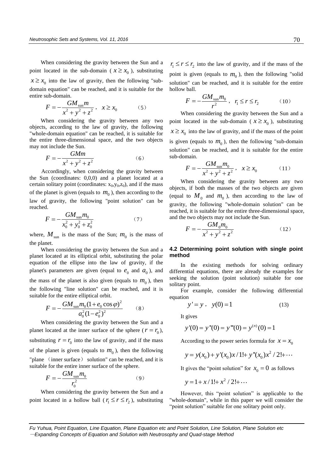When considering the gravity between the Sun and a point located in the sub-domain ( $x \ge x_0$ ), substituting  $x \ge x_0$  into the law of gravity, then the following "subdomain equation" can be reached, and it is suitable for the entire sub-domain.

$$
F = -\frac{GM_{\text{sun}}m}{x^2 + y^2 + z^2}, \quad x \ge x_0 \tag{5}
$$

When considering the gravity between any two objects, according to the law of gravity, the following "whole-domain equation" can be reached, it is suitable for the entire three-dimensional space, and the two objects may not include the Sun.

$$
F = -\frac{GMm}{x^2 + y^2 + z^2} \tag{6}
$$

Accordingly, when considering the gravity between the Sun (coordinates: 0,0,0) and a planet located at a certain solitary point (coordinates:  $x_0, y_0, z_0$ ), and if the mass of the planet is given (equals to  $m_0$ ), then according to the law of gravity, the following "point solution" can be reached.

$$
F = -\frac{GM_{\text{sun}}m_0}{x_0^2 + y_0^2 + z_0^2}
$$
 (7)

where,  $M_{\text{sun}}$  is the mass of the Sun;  $m_0$  is the mass of the planet.

When considering the gravity between the Sun and a planet located at its elliptical orbit, substituting the polar equation of the ellipse into the law of gravity, if the planet's parameters are given (equal to  $e_0$  and  $a_0$ ), and the mass of the planet is also given (equals to  $m_0$ ), then the following "line solution" can be reached, and it is

suitable for the entire elliptical orbit.  
\n
$$
F = -\frac{GM_{sun}m_0(1 + e_0 \cos \varphi)^2}{a_0^2(1 - e_0^2)^2}
$$
\n(8)

When considering the gravity between the Sun and a planet located at the inner surface of the sphere ( $r = r_0$ ), substituting  $r = r_0$  into the law of gravity, and if the mass of the planet is given (equals to  $m_0$ ), then the following "plane (inner surface) solution" can be reached, and it is suitable for the entire inner surface of the sphere.

$$
F = -\frac{GM_{\text{sun}}m_0}{r_0^2} \tag{9}
$$

When considering the gravity between the Sun and a point located in a hollow ball ( $r_1 \le r \le r_2$ ), substituting

 $r_1 \le r \le r_2$  into the law of gravity, and if the mass of the point is given (equals to  $m_0$ ), then the following "solid solution" can be reached, and it is suitable for the entire hollow ball.

$$
F = -\frac{GM_{\text{sun}}m_0}{r^2}, \quad r_1 \le r \le r_2 \tag{10}
$$

When considering the gravity between the Sun and a point located in the sub-domain ( $x \ge x_0$ ), substituting  $x \ge x_0$  into the law of gravity, and if the mass of the point is given (equals to  $m_0$ ), then the following "sub-domain solution" can be reached, and it is suitable for the entire sub-domain.

$$
F = -\frac{GM_{\text{sun}}m_0}{x^2 + y^2 + z^2}, \quad x \ge x_0 \tag{11}
$$

When considering the gravity between any two objects, if both the masses of the two objects are given (equal to  $M_0$  and  $m_0$ ), then according to the law of gravity, the following "whole-domain solution" can be reached, it is suitable for the entire three-dimensional space, and the two objects may not include the Sun.

$$
F = -\frac{GM_0m_0}{x^2 + y^2 + z^2}
$$
 (12)

#### **4.2 Determining point solution with single point method**

In the existing methods for solving ordinary differential equations, there are already the examples for seeking the solution (point solution) suitable for one solitary point.

For example, consider the following differential equation

$$
y' = y, \quad y(0) = 1 \tag{13}
$$

It gives

$$
y'(0) = y''(0) = y'''(0) = y^{(n)}(0) = 1
$$

According to the power series formula for 
$$
x = x_0
$$
  
 $y = y(x_0) + y'(x_0)x/1 + y''(x_0)x^2/2 + \cdots$ 

It gives the "point solution" for  $x_0 = 0$  as follows

$$
y = 1 + x/1! + x^2/2! + \cdots
$$

However, this "point solution" is applicable to the "whole-domain", while in this paper we will consider the "point solution" suitable for one solitary point only.

*Fu Yuhua, Point Equation, Line Equation, Plane Equation etc and Point Solution, Line Solution, Plane Solution etc*  —*Expanding Concepts of Equation and Solution with Neutrosophy and Quad-stage Method*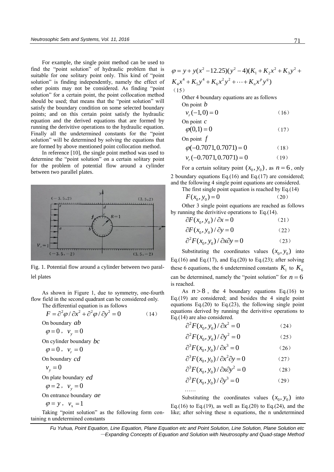For example, the single point method can be used to find the "point solution" of hydraulic problem that is suitable for one solitary point only. This kind of "point solution" is finding independently, namely the effect of other points may not be considered. As finding "point solution" for a certain point, the point collocation method should be used; that means that the "point solution" will satisfy the boundary condition on some selected boundary points; and on this certain point satisfy the hydraulic equation and the derived equations that are formed by running the derivitive operations to the hydraulic equation. Finally all the undetermined constants for the "point solution" will be determined by solving the equations that are formed by above mentioned point collocation method.

In reference [10], the single point method was used to determine the "point solution" on a certain solitary point for the problem of potential flow around a cylinder between two parallel plates.



Fig. 1. Potential flow around a cylinder between two parallel plates

As shown in Figure 1, due to symmetry, one-fourth flow field in the second quadrant can be considered only. The differential equation is as follows

 $F = \partial^2 \varphi / \partial x^2 + \partial^2 \varphi / \partial y^2 = 0$  (14) On boundary *ab*  $\varphi = 0$ ,  $v_y = 0$ On cylinder boundary *bc*  $\varphi = 0$ ,  $v_r = 0$ On boundary *cd*  $v_y = 0$ On plate boundary *ed*  $\varphi = 2, v_y = 0$ On entrance boundary *ae*  $\varphi = y$ ,  $v_x = 1$ 

Taking "point solution" as the following form containing n undetermined constants:\n
$$
y'' + 2y = 0
$$

$$
\varphi = y + y(x^{2} - 12.25)(y^{2} - 4)(K_{1} + K_{2}x^{2} + K_{3}y^{2} + K_{4}x^{4} + K_{5}y^{4} + K_{6}x^{2}y^{2} + \dots + K_{n}x^{p}y^{q})
$$
\n(15)

Other 4 boundary equations are as follows On point *b*

$$
v_r(-1,0) = 0 \tag{16}
$$

On point *c*  
\n
$$
\varphi(0,1) = 0
$$
\n(17)

On point *f*

$$
\varphi(-0.7071, 0.7071) = 0 \tag{18}
$$

$$
v_r(-0.7071, 0.7071) = 0 \tag{19}
$$

For a certain solitary point  $(x_0, y_0)$ , as  $n = 6$ , only 2 boundary equations Eq.(16) and Eq.(17) are considered; and the following 4 single point equations are considered.

The first single point equation is reached by Eq.(14)

$$
F(x_0, y_0) = 0 \tag{20}
$$

Other 3 single point equations are reached as follows by running the derivitive operations to Eq.(14).

$$
\partial F(x_0, y_0) / \partial x = 0 \tag{21}
$$

$$
\partial F(x_0, y_0) / \partial y = 0 \tag{22}
$$

$$
\partial^2 F(x_0, y_0) / \partial x \partial y = 0 \tag{23}
$$

Substituting the coordinates values  $(x_0, y_0)$  into Eq.(16) and Eq.(17), and Eq.(20) to Eq.(23); after solving these 6 equations, the 6 undetermined constants  $K_1$  to  $K_6$ can be determined, namely the "point solution" for  $n = 6$ is reached.

As  $n > 8$ , the 4 boundary equations Eq.(16) to Eq.(19) are considered; and besides the 4 single point equations Eq. $(20)$  to Eq. $(23)$ , the following single point equations derived by running the derivitive operations to Eq.(14) are also considered.

$$
\partial^2 F(x_0, y_0) / \partial x^2 = 0 \tag{24}
$$

$$
\partial^2 F(x_0, y_0) / \partial y^2 = 0 \tag{25}
$$

$$
\partial^3 F(x_0, y_0) / \partial x^3 = 0 \tag{26}
$$

$$
\partial^3 F(x_0, y_0) / \partial x^2 \partial y = 0 \tag{27}
$$

$$
\partial^3 F(x_0, y_0) / \partial x \partial y^2 = 0 \tag{28}
$$

$$
\partial^3 F(x_0, y_0) / \partial y^3 = 0 \tag{29}
$$

Substituting the coordinates values  $(x_0, y_0)$  into Eq.(16) to Eq.(19), as well as Eq.(20) to Eq.(24), and the like; after solving these n equations, the n undetermined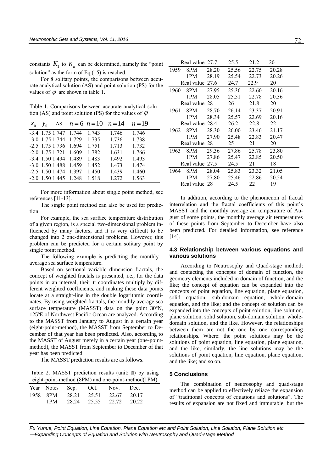constants  $K_1$  to  $K_n$  can be determined, namely the "point" solution" as the form of Eq.(15) is reached.

For 8 solitary points, the comparisons between accurate analytical solution (AS) and point solution (PS) for the values of  $\varphi$  are shown in table 1.

Table 1. Comparisons between accurate analytical solution (AS) and point solution (PS) for the values of  $\varphi$ 

| $x_{0}$ | $y_0$ |                         |       |       | AS $n = 6$ $n = 10$ $n = 14$ $n = 19$ |       |
|---------|-------|-------------------------|-------|-------|---------------------------------------|-------|
|         |       | $-3.4$ 1.75 1.747 1.744 |       | 1.743 | 1.746                                 | 1.746 |
|         |       | $-3.0$ 1.75 1.744 1.729 |       | 1.735 | 1.736                                 | 1.738 |
|         |       | $-2.5$ 1.75 1.736       | 1.694 | 1.751 | 1.713                                 | 1.732 |
|         |       | $-2.0$ 1.75 1.721       | 1.609 | 1.782 | 1.631                                 | 1.766 |
|         |       | $-3.4$ 1.50 1.494       | 1.489 | 1.483 | 1.492                                 | 1.493 |
|         |       | $-3.0$ 1.50 1.488       | 1.459 | 1.452 | 1.473                                 | 1.474 |
|         |       | $-2.5$ 1.50 1.474       | 1.397 | 1.450 | 1.439                                 | 1.460 |
|         |       | $-2.0$ 1.50 1.445       | 1.248 | 1.518 | 1.272                                 | 1.563 |

For more information about single point method, see references [11-13].

The single point method can also be used for prediction.

For example, the sea surface temperature distribution of a given region, is a special two-dimensional problem influenced by many factors, and it is very difficult to be changed into 2 one-dimensional problems. However, this problem can be predicted for a certain solitary point by single point method.

The following example is predicting the monthly average sea surface temperature.

Based on sectional variable dimension fractals, the concept of weighted fractals is presented, i.e., for the data points in an interval, their  $r$  coordinates multiply by different weighted coefficients, and making these data points locate at a straight-line in the double logarithmic coordinates. By using weighted fractals, the monthly average sea surface temperature (MASST) data on the point 30ºN, 125ºE of Northwest Pacific Ocean are analyzed. According to the MASST from January to August in a certain year (eight-point-method), the MASST from September to December of that year has been predicted. Also, according to the MASST of August merely in a certain year (one-pointmethod), the MASST from September to December of that year has been predicted.

The MASST prediction results are as follows.

Table 2. MASST prediction results (unit: new by using eight-point-method (8PM) and one-point-method(1PM)

|  |  | Year Notes Sep. Oct. Nov. Dec.   |  |
|--|--|----------------------------------|--|
|  |  | 1958 8PM 28.21 25.51 22.67 20.17 |  |
|  |  | 1PM 28.24 25.55 22.72 20.22      |  |

| Real value 27.7 |       | 25.5  | 21.2  | 20    |  |
|-----------------|-------|-------|-------|-------|--|
| 1959<br>8PM     | 28.20 | 25.56 | 22.75 | 20.28 |  |
| 1PM             | 28.19 | 25.54 | 22.73 | 20.26 |  |
| Real value 27.6 |       | 24.7  | 22.9  | 20    |  |
| 1960<br>8PM     | 27.95 | 25.36 | 22.60 | 20.16 |  |
| 1PM             | 28.05 | 25.51 | 22.78 | 20.36 |  |
| Real value 28   |       | 26    | 21.8  | 20    |  |
| 1961<br>8PM     | 28.70 | 26.14 | 23.37 | 20.91 |  |
| 1PM             | 28.34 | 25.57 | 22.69 | 20.16 |  |
| Real value 28.4 |       | 26.2  | 22.8  | 22    |  |
| 1962<br>8PM     | 28.30 | 26.00 | 23.46 | 21.17 |  |
| 1PM             | 27.90 | 25.48 | 22.83 | 20.47 |  |
| Real value 28   |       | 25    | 21    | 20    |  |
| 1963<br>8PM     | 29.36 | 27.86 | 25.78 | 23.80 |  |
| 1PM             | 27.86 | 25.47 | 22.85 | 20.50 |  |
| Real value 27.5 |       | 24.5  | 21    | 18    |  |
| 8PM<br>1964     | 28.04 | 25.83 | 23.32 | 21.05 |  |
| 1PM             | 27.80 | 25.46 | 22.86 | 20.54 |  |
| Real value 28   |       | 24.5  | 22    | 19    |  |

In addition, according to the phenomenon of fractal interrelation and the fractal coefficients of this point's MASST and the monthly average air temperature of August of some points, the monthly average air temperatures of these points from September to December have also been predicted. For detailed information, see reference [14].

#### **4.3 Relationship between various equations and various solutions**

According to Neutrosophy and Quad-stage method; and contacting the concepts of domain of function, the geometry elements included in domain of function, and the like; the concept of equation can be expanded into the concepts of point equation, line equation, plane equation, solid equation, sub-domain equation, whole-domain equation, and the like; and the concept of solution can be expanded into the concepts of point solution, line solution, plane solution, solid solution, sub-domain solution, wholedomain solution, and the like. However, the relationships between them are not the one by one corresponding relationships. Where: the point solutions may be the solutions of point equation, line equation, plane equation, and the like; similarly, the line solutions may be the solutions of point equation, line equation, plane equation, and the like; and so on.

#### **5 Conclusions**

The combination of neutrosophy and quad-stage method can be applied to effectively reliaze the expansion of "traditional concepts of equations and solutions". The results of expansion are not fixed and immutable, but the